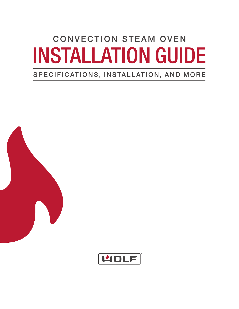# CONVECTION STEAM OVEN INSTALLATION GUIDE

# SPECIFICATIONS, INSTALLATION, AND MORE



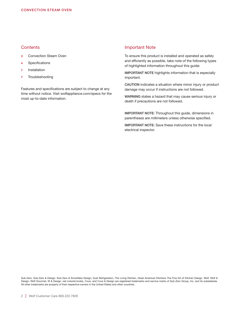# **Contents**

- 3 Convection Steam Oven
- 4 Specifications
- **Installation**
- 7 Troubleshooting

Features and specifications are subject to change at any time without notice. Visit wolfappliance.com/specs for the most up-to-date information.

#### Important Note

To ensure this product is installed and operated as safely and efficiently as possible, take note of the following types of highlighted information throughout this guide:

IMPORTANT NOTE highlights information that is especially important.

CAUTION indicates a situation where minor injury or product damage may occur if instructions are not followed.

WARNING states a hazard that may cause serious injury or death if precautions are not followed.

IMPORTANT NOTE: Throughout this guide, dimensions in parentheses are millimeters unless otherwise specified.

IMPORTANT NOTE: Save these instructions for the local electrical inspector.

Sub-Zero, Sub-Zero & Design, Sub-Zero & Snowflake Design, Dual Refrigeration, The Living Kitchen, Great American Kitchens The Fine Art of Kitchen Design, Wolf, Wolf & Design, Wolf Gourmet, W & Design, red colored knobs, Cove, and Cove & Design are registered trademarks and service marks of Sub-Zero Group, Inc. and its subsidiaries. All other trademarks are property of their respective owners in the United States and other countries.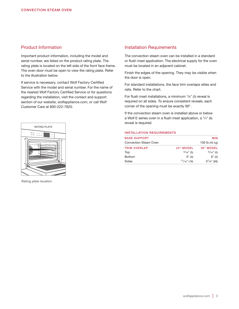# Product Information

Important product information, including the model and serial number, are listed on the product rating plate. The rating plate is located on the left side of the front face frame. The oven door must be open to view the rating plate. Refer to the illustration below.

If service is necessary, contact Wolf Factory Certified Service with the model and serial number. For the name of the nearest Wolf Factory Certified Service or for questions regarding the installation, visit the contact and support section of our website, wolfappliance.com, or call Wolf Customer Care at 800-222-7820.



Rating plate location

#### Installation Requirements

The convection steam oven can be installed in a standard or flush inset application. The electrical supply for the oven must be located in an adjacent cabinet.

Finish the edges of the opening. They may be visible when the door is open.

For standard installations, the face trim overlaps stiles and rails. Refer to the chart.

For flush inset installations, a minimum  $\frac{1}{8}$ " (3) reveal is required on all sides. To ensure consistent reveals, each corner of the opening must be exactly 90°.

If the convection steam oven is installed above or below a Wolf E series oven in a flush inset application, a  $\frac{1}{4}$ " (6) reveal is required.

#### INSTALLATION REQUIREMENTS

| <b>BASE SUPPORT</b>          |                | <b>MIN</b>       |
|------------------------------|----------------|------------------|
| <b>Convection Steam Oven</b> |                | 100 lb (45 kg)   |
| <b>TRIM OVERLAP</b>          | 24" MODEL      | 30" MODEL        |
| Top                          | $3/16$ " (5)   | $3/16$ " (5)     |
| <b>Bottom</b>                | 0''(0)         | 0''(0)           |
| Sides                        | $11/16$ " (18) | $3^{7}/8$ " (98) |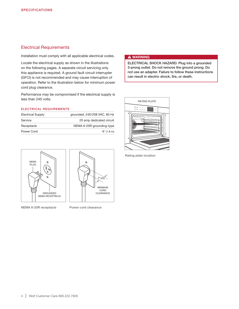# Electrical Requirements

Installation must comply with all applicable electrical codes.

Locate the electrical supply as shown in the illustrations on the following pages. A separate circuit servicing only this appliance is required. A ground fault circuit interrupter (GFCI) is not recommended and may cause interruption of operation. Refer to the illustration below for minimum power cord plug clearance.

Performance may be compromised if the electrical supply is less than 240 volts.

#### ELECTRICAL REQUIREMENTS

| <b>Electrical Supply</b> | grounded, 240/208 VAC, 60 Hz |
|--------------------------|------------------------------|
| Service                  | 20 amp dedicated circuit     |
| Receptacle               | NEMA 6-20R grounding-type    |
| Power Cord               | $6'$ (1.8 m)                 |



NEMA 6-20R receptacle Power cord clearance

#### **A WARNING**

ELECTRICAL SHOCK HAZARD: Plug into a grounded 3-prong outlet. Do not remove the ground prong. Do not use an adapter. Failure to follow these instructions can result in electric shock, fire, or death.



Rating plate location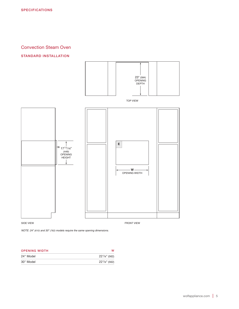# Convection Steam Oven

#### STANDARD INSTALLATION



*NOTE: 24" (610) and 30" (762) models require the same opening dimensions.*

| <b>OPENING WIDTH</b> |                      |
|----------------------|----------------------|
| 24" Model            | $22^{1/8"}$ (562)    |
| 30" Model            | $22^1$ / $8$ " (562) |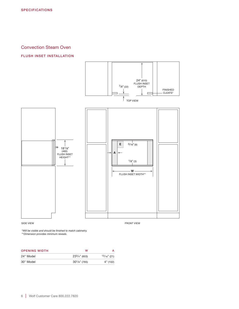# Convection Steam Oven

#### FLUSH INSET INSTALLATION



*\*Will be visible and should be finished to match cabinetry. \*\*Dimension provides minimum reveals.*

| <b>OPENING WIDTH</b>                           | M              |                |
|------------------------------------------------|----------------|----------------|
| $0.4$ $\parallel$ $M$ <sub>2</sub> $\parallel$ | 0.231.11(0.00) | $131.4$ $(04)$ |

| 24" Model | $23^{3}/4$ " (603) | $13/16$ " (21) |
|-----------|--------------------|----------------|
| 30" Model | $30^{1}/s$ " (765) | 4" (102)       |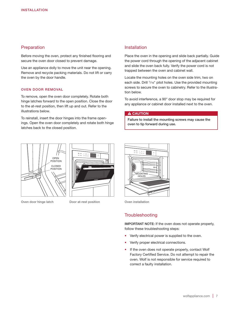# **Preparation**

Before moving the oven, protect any finished flooring and secure the oven door closed to prevent damage.

Use an appliance dolly to move the unit near the opening. Remove and recycle packing materials. Do not lift or carry the oven by the door handle.

#### OVEN DOOR REMOVAL

To remove, open the oven door completely. Rotate both hinge latches forward to the open position. Close the door to the at-rest position, then lift up and out. Refer to the illustrations below.

To reinstall, insert the door hinges into the frame openings. Open the oven door completely and rotate both hinge latches back to the closed position.





Oven door hinge latch Door at-rest position

#### Installation

Place the oven in the opening and slide back partially. Guide the power cord through the opening of the adjacent cabinet and slide the oven back fully. Verify the power cord is not trapped between the oven and cabinet wall.

Locate the mounting holes on the oven side trim, two on each side. Drill <sup>1</sup>/16" pilot holes. Use the provided mounting screws to secure the oven to cabinetry. Refer to the illustration below.

To avoid interference, a 90° door stop may be required for any appliance or cabinet door installed next to the oven.

#### **A** CAUTION

Failure to install the mounting screws may cause the oven to tip forward during use.



Oven installation

# **Troubleshooting**

IMPORTANT NOTE: If the oven does not operate properly, follow these troubleshooting steps:

- Verify electrical power is supplied to the oven.
- Verify proper electrical connections.
- If the oven does not operate properly, contact Wolf Factory Certified Service. Do not attempt to repair the oven. Wolf is not responsible for service required to correct a faulty installation.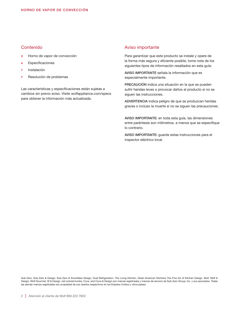# Contenido

- 3 Horno de vapor de convección
- 4 Especificaciones
- **Instalación**
- 7 Resolución de problemas

Las características y especificaciones están sujetas a cambios sin previo aviso. Visite wolfappliance.com/specs para obtener la información más actualizada.

### Aviso importante

Para garantizar que este producto se instale y opere de la forma más segura y eficiente posible, tome nota de los siguientes tipos de información resaltados en esta guía:

AVISO IMPORTANTE señala la información que es especialmente importante.

PRECAUCIÓN indica una situación en la que se pueden sufrir heridas leves o provocar daños al producto si no se siguen las instrucciones.

ADVERTENCIA indica peligro de que se produzcan heridas graves o incluso la muerte si no se siguen las precauciones.

AVISO IMPORTANTE: en toda esta guía, las dimensiones entre paréntesis son milímetros, a menos que se especifique lo contrario.

AVISO IMPORTANTE: guarde estas instrucciones para el inspector eléctrico local.

Sub-Zero, Sub-Zero & Design, Sub-Zero & Snowflake Design, Dual Refrigeration, The Living Kitchen, Great American Kitchens The Fine Art of Kitchen Design, Wolf, Wolf & Design, Wolf Gourmet, W & Design, red colored knobs, Cove, and Cove & Design son marcas registradas y marcas de servicio de Sub-Zero Group, Inc. y sus asociados. Todas las demás marcas registradas son propiedad de sus dueños respectivos en los Estados Unidos y otros países.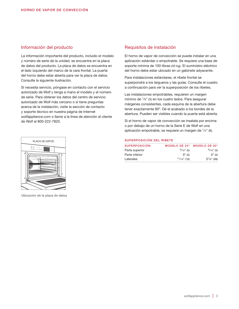## Información del producto

La información importante del producto, incluido el modelo y número de serie de la unidad, se encuentra en la placa de datos del producto. La placa de datos se encuentra en el lado izquierdo del marco de la cara frontal. La puerta del horno debe estar abierta para ver la placa de datos. Consulte la siguiente ilustración.

Si necesita servicio, póngase en contacto con el servicio autorizado de Wolf y tenga a mano el modelo y el número de serie. Para obtener los datos del centro de servicio autorizado de Wolf más cercano o si tiene preguntas acerca de la instalación, visite la sección de contacto y soporte técnico en nuestra página de Internet wolfappliance.com o llame a la línea de atención al cliente de Wolf al 800-222-7820.



Ubicación de la placa de datos

# Requisitos de instalación

El horno de vapor de convección se puede instalar en una aplicación estándar o empotrable. Se requiere una base de soporte mínima de 100 libras (45 kg). El suministro eléctrico del horno debe estar ubicado en un gabinete adyacente.

Para instalaciones estándares, el ribete frontal se superpondrá a los largueros y las guías. Consulte el cuadro a continuación para ver la superposición de los ribetes.

Las instalaciones empotrables, requieren un margen mínimo de 1/8" (3) en los cuatro lados. Para asegurar márgenes consistentes, cada esquina de la abertura debe tener exactamente 90º. Dé el acabado a los bordes de la abertura. Pueden ser visibles cuando la puerta está abierta.

Si el horno de vapor de convección se insatala por encima o por debajo de un horno de la Serie E de Wolf en una aplicación empotrable, se requiere un margen de 1/4" (6).

#### SUPERPOSICIÓN DEL RIBETE

| <b>SUPERPOSICIÓN</b> | <b>MODELO DE 24"</b> | <b>MODELO DE 30"</b> |
|----------------------|----------------------|----------------------|
| Parte superior       | $3/16$ " (5)         | $3/16$ " (5)         |
| Parte inferior       | 0''(0)               | 0''(0)               |
| Laterales            | $11/16$ " (18)       | $3^{7}/8"$ (98)      |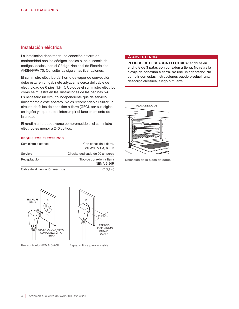# Instalación eléctrica

La instalación debe tener una conexión a tierra de conformidad con los códigos locales o, en ausencia de códigos locales, con el Código Nacional de Electricidad, ANSI/NFPA 70. Consulte las siguientes ilustraciones.

El suministro eléctrico del horno de vapor de convección debe estar en un gabinete adyacente cerca del cable de electricidad de 6 pies (1,8 m). Coloque el suministro eléctrico como se muestra en las ilustraciones de las páginas 5-6. Es necesario un circuito independiente que dé servicio únicamente a este aparato. No es recomendable utilizar un circuito de fallos de conexión a tierra (GFCI, por sus siglas en inglés) ya que puede interrumpir el funcionamiento de la unidad.

El rendimiento puede verse comprometido si el suministro eléctrico es menor a 240 voltios.

#### REQUISITOS ELÉCTRICOS

| Suministro eléctrico            | Con conexión a tierra,<br>240/208 V CA, 60 Hz  |
|---------------------------------|------------------------------------------------|
| Servicio                        | Circuito dedicado de 20 amperes                |
| Receptáculo                     | Tipo de conexión a tierra<br><b>NEMA 6-20R</b> |
| Cable de alimentación eléctrica | $6'$ (1,8 m)                                   |

#### **A ADVERTENCIA**

PELIGRO DE DESCARGA ELÉCTRICA: enchufe en enchufe de 3 patas con conexión a tierra. No retire la clavija de conexión a tierra. No use un adaptador. No cumplir con estas instrucciones puede producir una descarga eléctrica, fuego o muerte.



Ubicación de la placa de datos



Receptáculo NEMA 6-20R Espacio libre para el cable

0  $1"$ (25) ESPACIO LIBRE MÍNIMO PARA EL CABLE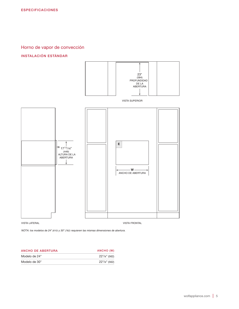Horno de vapor de convección

# INSTALACIÓN ESTÁNDAR



*NOTA: los modelos de 24" (610) y 30" (762) requieren las mismas dimensiones de abertura.*

| ANCHO DE ABERTURA | ANCHO (W)        |
|-------------------|------------------|
| Modelo de 24"     | $22^1/s''$ (562) |
| Modelo de 30"     | $22^1$ /8" (562) |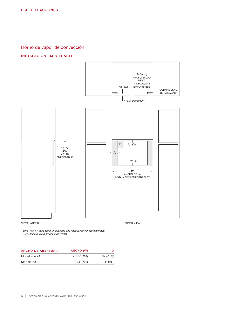Horno de vapor de convección

#### INSTALACIÓN EMPOTRABLE



*\*Será visible y debe tener un acabado que haga juego con los gabinetes. \*\*Dimensión mínima proporciona revela.*

| ANCHO DE ABERTURA | ANCHO (W)          |                |
|-------------------|--------------------|----------------|
| Modelo de 24"     | $23^{3}/4$ " (603) | $13/16$ " (21) |
| Modelo de 30"     | $30^{1}/s$ " (765) | 4" (102)       |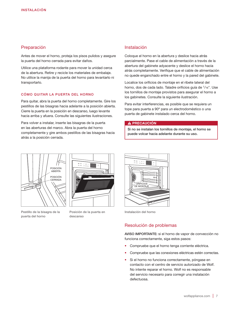# Preparación

Antes de mover el horno, proteja los pisos pulidos y asegure la puerta del horno cerrada para evitar daños.

Utilice una plataforma rodante para mover la unidad cerca de la abertura. Retire y recicle los materiales de embalaje. No utilice la manija de la puerta del horno para levantarlo ni transportarlo.

#### CÓMO QUITAR LA PUERTA DEL HORNO

Para quitar, abra la puerta del horno completamente. Gire los pestillos de las bisagras hacia adelante a la posición abierta. Cierre la puerta en la posición en descanso, luego levante hacia arriba y afuera. Consulte las siguientes ilustraciones.

Para volver a instalar, inserte las bisagras de la puerta en las aberturas del marco. Abra la puerta del horno completamente y gire ambos pestillos de las bisagras hacia atrás a la posición cerrada.

# Instalación

Coloque el horno en la abertura y deslice hacia atrás parcialmente. Pase el cable de alimentación a través de la abertura del gabinete adyacente y deslice el horno hacia atrás completamente. Verifique que el cable de alimentación no quede enganchado entre el horno y la pared del gabinete.

Localice los orificios de montaje en el ribete lateral del horno, dos de cada lado. Taladre orificios guía de <sup>1</sup>/16". Use los tornillos de montaje provistos para asegurar el horno a los gabinetes. Consulte la siguiente ilustración.

Para evitar interferencias, es posible que se requiera un tope para puerta a 90º para un electrodoméstico o una puerta de gabinete instalado cerca del horno.

#### A PRECAUCIÓN

Si no se instalan los tornillos de montaje, el horno se puede volcar hacia adelante durante su uso.



Pestillo de la bisagra de la puerta del horno



Posición de la puerta en descanso



Instalación del horno

# Resolución de problemas

AVISO IMPORTANTE: si el horno de vapor de convección no funciona correctamente, siga estos pasos:

- Compruebe que el horno tenga corriente eléctrica.
- Compruebe que las conexiones eléctricas estén correctas.
- Si el horno no funciona correctamente, póngase en contacto con el centro de servicio autorizado de Wolf. No intente reparar el horno. Wolf no es responsable del servicio necesario para corregir una instalación defectuosa.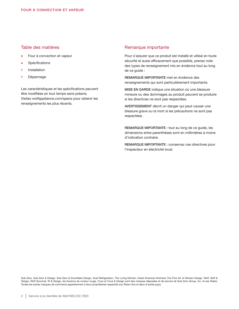# Table des matières

- 3 Four à convection et vapeur
- 4 Spécifications
- **Installation**
- 7 Dépannage

Les caractéristiques et les spécifications peuvent être modifiées en tout temps sans préavis. Visitez wolfappliance.com/specs pour obtenir les renseignements les plus récents.

# Remarque importante

Pour s'assurer que ce produit est installé et utilisé en toute sécurité et aussi efficacement que possible, prenez note des types de renseignement mis en évidence tout au long de ce guide :

REMARQUE IMPORTANTE met en évidence des renseignements qui sont particulièrement importants.

MISE EN GARDE indique une situation où une blessure mineure ou des dommages au produit peuvent se produire si les directives ne sont pas respectées.

AVERTISSEMENT décrit un danger qui peut causer une blessure grave ou la mort si les précautions ne sont pas respectées.

REMARQUE IMPORTANTE : tout au long de ce guide, les dimensions entre parenthèses sont en millimètres à moins d'indication contraire.

REMARQUE IMPORTANTE : conservez ces directives pour l'inspecteur en électricité local.

Sub-Zero, Sub-Zero & Design, Sub-Zero & Snowflake Design, Dual Refrigeration, The Living Kitchen, Great American Kitchens The Fine Art of Kitchen Design, Wolf, Wolf & Design, Wolf Gourmet, W & Design, les boutons de couleur rouge, Cove et Cove & Design sont des marques déposées et de service de Sub-Zero Group, Inc. et ses filiales. Toutes les autres marques de commerce appartiennent à leurs propriétaires respectifs aux États-Unis et dans d'autres pays.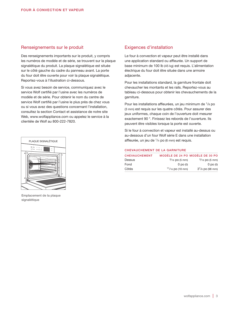# Renseignements sur le produit

Des renseignements importants sur le produit, y compris les numéros de modèle et de série, se trouvent sur la plaque signalétique du produit. La plaque signalétique est située sur le côté gauche du cadre du panneau avant. La porte du four doit être ouverte pour voir la plaque signalétique. Reportez-vous à l'illustration ci-dessous.

Si vous avez besoin de service, communiquez avec le service Wolf certifié par l'usine avec les numéros de modèle et de série. Pour obtenir le nom du centre de service Wolf certifié par l'usine le plus près de chez vous ou si vous avez des questions concernant l'installation, consultez la section Contact et assistance de notre site Web, www.wolfappliance.com ou appelez le service à la clientèle de Wolf au 800-222-7820.



Emplacement de la plaque signalétique

# Exigences d'installation

Le four à convection et vapeur peut être installé dans une application standard ou affleurée. Un support de base minimum de 100 lb (45 kg) est requis. L'alimentation électrique du four doit être située dans une armoire adjacente.

Pour les installations standard, la garniture frontale doit chevaucher les montants et les rails. Reportez-vous au tableau ci-dessous pour obtenir les chevauchements de la garniture.

Pour les installations affleurées, un jeu minimum de 1/8 po (3 mm) est requis sur les quatre côtés. Pour assurer des jeux uniformes, chaque coin de l'ouverture doit mesurer exactement 90 °. Finissez les rebords de l'ouverture. Ils peuvent être visibles lorsque la porte est ouverte.

Si le four à convection et vapeur est installé au-dessus ou au-dessous d'un four Wolf série E dans une installation affleurée, un jeu de 1/4 po (6 mm) est requis.

#### CHEVAUCHEMENT DE LA GARNITURE

| <b>CHEVAUCHEMENT</b> |                    | MODÈLE DE 24 PO MODÈLE DE 30 PO |
|----------------------|--------------------|---------------------------------|
| Dessus               | $3/16$ po (5 mm)   | $3/16$ po (5 mm)                |
| Fond                 | $0$ po $(0)$       | $0$ po $(0)$                    |
| Côtés                | $11/16$ po (18 mm) | $3^{7}/8$ po (98 mm)            |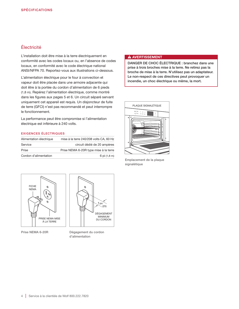# Électricité

L'installation doit être mise à la terre électriquement en conformité avec les codes locaux ou, en l'absence de codes locaux, en conformité avec le code électrique national ANSI/NFPA 70. Reportez-vous aux illustrations ci-dessous.

L'alimentation électrique pour le four à convection et vapeur doit être placée dans une armoire adjacente qui doit être à la portée du cordon d'alimentation de 6 pieds (1,8 m). Repérez l'alimentation électrique, comme montré dans les figures aux pages 5 et 6. Un circuit séparé servant uniquement cet appareil est requis. Un disjoncteur de fuite de terre (GFCI) n'est pas recommandé et peut interrompre le fonctionnement.

La performance peut être compromise si l'alimentation électrique est inférieure à 240 volts.

#### EXIGENCES ÉLECTRIQUES

| Alimentation électrique | mise à la terre 240/208 volts CA, 60 Hz |
|-------------------------|-----------------------------------------|
| Service                 | circuit dédié de 20 ampères             |
| Prise                   | Prise NEMA 6-20R type mise à la terre   |
| Cordon d'alimentation   | 6 pi (1,8 m)                            |





Prise NEMA 6-20R Dégagement du cordon d'alimentation

#### **A AVERTISSEMENT**

DANGER DE CHOC ÉLECTRIQUE : branchez dans une prise à trois broches mise à la terre. Ne retirez pas la broche de mise à la terre. N'utilisez pas un adaptateur. Le non-respect de ces directives peut provoquer un incendie, un choc électrique ou même, la mort.



Emplacement de la plaque signalétique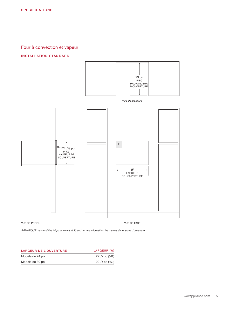# Four à convection et vapeur

#### INSTALLATION STANDARD



*REMARQUE : les modèles 24 po (610 mm) et 30 po (762 mm) nécessitent les mêmes dimensions d'ouverture.*

| <b>LARGEUR DE L'OUVERTURE</b> | LARGEUR (W)         |
|-------------------------------|---------------------|
| Modèle de 24 po               | $22^{1}/8$ po (562) |
| Modèle de 30 po               | $22^1$ /8 po (562)  |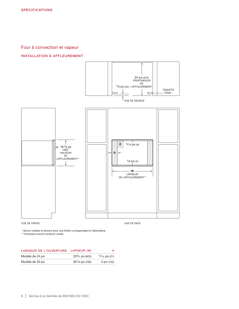# Four à convection et vapeur

#### INSTALLATION À AFFLEUREMENT



*\* Seront visibles et doivent avoir une finition correspondant à l'ébénisterie.*

*\*\* Dimension fournit minimum révèle.*

| <b>LARGEUR DE L'OUVERTURE</b> | LARGEUR (W)         | А               |
|-------------------------------|---------------------|-----------------|
| Modèle de 24 po               | $233/4$ po (603)    | $13/16$ po (21) |
| Modèle de 30 po               | $30^{1}/8$ po (765) | 4 po (102)      |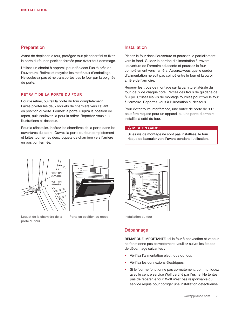# Préparation

Avant de déplacer le four, protégez tout plancher fini et fixez la porte du four en position fermée pour éviter tout dommage.

Utilisez un chariot à appareil pour déplacer l'unité près de l'ouverture. Retirez et recyclez les matériaux d'emballage. Ne soulevez pas et ne transportez pas le four par la poignée de porte.

#### RETRAIT DE LA PORTE DU FOUR

Pour le retirer, ouvrez la porte du four complètement. Faites pivoter les deux loquets de charnière vers l'avant en position ouverte. Fermez la porte jusqu'à la position de repos, puis soulevez-la pour la retirer. Reportez-vous aux illustrations ci-dessous.

Pour la réinstaller, insérez les charnières de la porte dans les ouvertures du cadre. Ouvrez la porte du four complètement et faites tourner les deux loquets de charnière vers l'arrière en position fermée.

# Installation

Placez le four dans l'ouverture et poussez-le partiellement vers le fond. Guidez le cordon d'alimentation à travers l'ouverture de l'armoire adjacente et poussez le four complètement vers l'arrière. Assurez-vous que le cordon d'alimentation ne soit pas coincé entre le four et la paroi arrière de l'armoire.

Repérer les trous de montage sur la garniture latérale du four, deux de chaque côté. Percez des trous de guidage de 1/16 po. Utilisez les vis de montage fournies pour fixer le four à l'armoire. Reportez-vous à l'illustration ci-dessous.

Pour éviter toute interférence, une butée de porte de 90 ° peut être requise pour un appareil ou une porte d'armoire installés à côté du four.

#### **A MISE EN GARDE**

Si les vis de montage ne sont pas installées, le four risque de basculer vers l'avant pendant l'utilisation.





Loquet de la charnière de la porte du four

Porte en position au repos



Installation du four

#### Dépannage

REMARQUE IMPORTANTE : si le four à convection et vapeur ne fonctionne pas correctement, veuillez suivre les étapes de dépannage suivantes :

- Vérifiez l'alimentation électrique du four.
- Vérifiez les connexions électriques.
- Si le four ne fonctionne pas correctement, communiquez avec le centre service Wolf certifié par l'usine. Ne tentez pas de réparer le four. Wolf n'est pas responsable du service requis pour corriger une installation défectueuse.